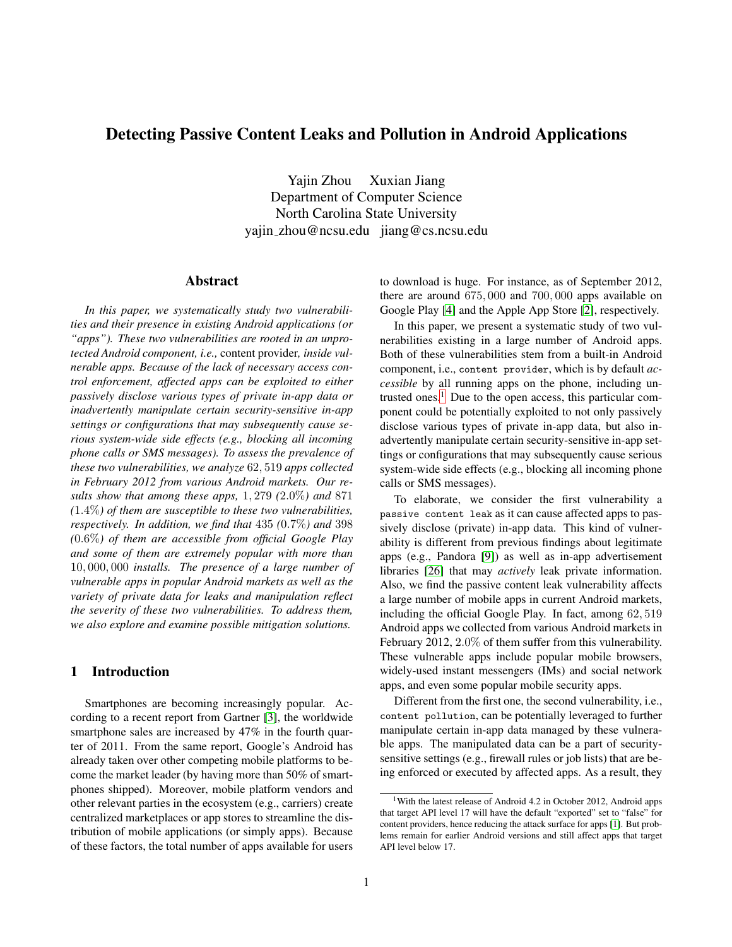# **Detecting Passive Content Leaks and Pollution in Android Applications**

Yajin Zhou Xuxian Jiang Department of Computer Science North Carolina State University yajin zhou@ncsu.edu jiang@cs.ncsu.edu

#### **Abstract**

*In this paper, we systematically study two vulnerabilities and their presence in existing Android applications (or "apps"). These two vulnerabilities are rooted in an unprotected Android component, i.e.,* content provider*, inside vulnerable apps. Because of the lack of necessary access control enforcement, affected apps can be exploited to either passively disclose various types of private in-app data or inadvertently manipulate certain security-sensitive in-app settings or configurations that may subsequently cause serious system-wide side effects (e.g., blocking all incoming phone calls or SMS messages). To assess the prevalence of these two vulnerabilities, we analyze* 62, 519 *apps collected in February 2012 from various Android markets. Our results show that among these apps,* 1, 279 *(*2.0%*) and* 871 *(*1.4%*) of them are susceptible to these two vulnerabilities, respectively. In addition, we find that* 435 *(*0.7%*) and* 398 *(*0.6%*) of them are accessible from official Google Play and some of them are extremely popular with more than* 10, 000, 000 *installs. The presence of a large number of vulnerable apps in popular Android markets as well as the variety of private data for leaks and manipulation reflect the severity of these two vulnerabilities. To address them, we also explore and examine possible mitigation solutions.*

### **1 Introduction**

Smartphones are becoming increasingly popular. According to a recent report from Gartner [\[3\]](#page-14-0), the worldwide smartphone sales are increased by 47% in the fourth quarter of 2011. From the same report, Google's Android has already taken over other competing mobile platforms to become the market leader (by having more than 50% of smartphones shipped). Moreover, mobile platform vendors and other relevant parties in the ecosystem (e.g., carriers) create centralized marketplaces or app stores to streamline the distribution of mobile applications (or simply apps). Because of these factors, the total number of apps available for users to download is huge. For instance, as of September 2012, there are around 675, 000 and 700, 000 apps available on Google Play [\[4\]](#page-14-1) and the Apple App Store [\[2\]](#page-14-2), respectively.

In this paper, we present a systematic study of two vulnerabilities existing in a large number of Android apps. Both of these vulnerabilities stem from a built-in Android component, i.e., content provider, which is by default *accessible* by all running apps on the phone, including un-trusted ones.<sup>[1](#page-0-0)</sup> Due to the open access, this particular component could be potentially exploited to not only passively disclose various types of private in-app data, but also inadvertently manipulate certain security-sensitive in-app settings or configurations that may subsequently cause serious system-wide side effects (e.g., blocking all incoming phone calls or SMS messages).

To elaborate, we consider the first vulnerability a passive content leak as it can cause affected apps to passively disclose (private) in-app data. This kind of vulnerability is different from previous findings about legitimate apps (e.g., Pandora [\[9\]](#page-14-3)) as well as in-app advertisement libraries [\[26\]](#page-14-4) that may *actively* leak private information. Also, we find the passive content leak vulnerability affects a large number of mobile apps in current Android markets, including the official Google Play. In fact, among 62, 519 Android apps we collected from various Android markets in February 2012, 2.0% of them suffer from this vulnerability. These vulnerable apps include popular mobile browsers, widely-used instant messengers (IMs) and social network apps, and even some popular mobile security apps.

Different from the first one, the second vulnerability, i.e., content pollution, can be potentially leveraged to further manipulate certain in-app data managed by these vulnerable apps. The manipulated data can be a part of securitysensitive settings (e.g., firewall rules or job lists) that are being enforced or executed by affected apps. As a result, they

<span id="page-0-0"></span>With the latest release of Android 4.2 in October 2012, Android apps that target API level 17 will have the default "exported" set to "false" for content providers, hence reducing the attack surface for apps [\[1\]](#page-14-5). But problems remain for earlier Android versions and still affect apps that target API level below 17.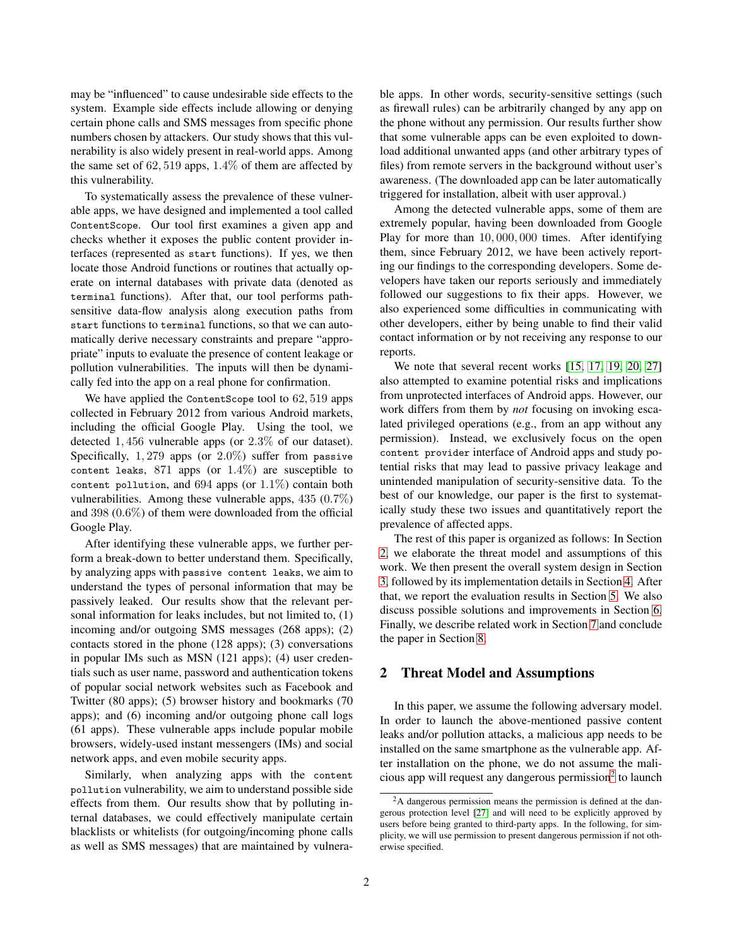may be "influenced" to cause undesirable side effects to the system. Example side effects include allowing or denying certain phone calls and SMS messages from specific phone numbers chosen by attackers. Our study shows that this vulnerability is also widely present in real-world apps. Among the same set of  $62,519$  apps,  $1.4\%$  of them are affected by this vulnerability.

To systematically assess the prevalence of these vulnerable apps, we have designed and implemented a tool called ContentScope. Our tool first examines a given app and checks whether it exposes the public content provider interfaces (represented as start functions). If yes, we then locate those Android functions or routines that actually operate on internal databases with private data (denoted as terminal functions). After that, our tool performs pathsensitive data-flow analysis along execution paths from start functions to terminal functions, so that we can automatically derive necessary constraints and prepare "appropriate" inputs to evaluate the presence of content leakage or pollution vulnerabilities. The inputs will then be dynamically fed into the app on a real phone for confirmation.

We have applied the ContentScope tool to 62, 519 apps collected in February 2012 from various Android markets, including the official Google Play. Using the tool, we detected 1, 456 vulnerable apps (or 2.3% of our dataset). Specifically,  $1,279$  apps (or  $2.0\%$ ) suffer from passive content leaks,  $871$  apps (or  $1.4\%$ ) are susceptible to content pollution, and  $694$  apps (or  $1.1\%$ ) contain both vulnerabilities. Among these vulnerable apps, 435 (0.7%) and 398 (0.6%) of them were downloaded from the official Google Play.

After identifying these vulnerable apps, we further perform a break-down to better understand them. Specifically, by analyzing apps with passive content leaks, we aim to understand the types of personal information that may be passively leaked. Our results show that the relevant personal information for leaks includes, but not limited to, (1) incoming and/or outgoing SMS messages (268 apps); (2) contacts stored in the phone (128 apps); (3) conversations in popular IMs such as MSN (121 apps); (4) user credentials such as user name, password and authentication tokens of popular social network websites such as Facebook and Twitter (80 apps); (5) browser history and bookmarks (70 apps); and (6) incoming and/or outgoing phone call logs (61 apps). These vulnerable apps include popular mobile browsers, widely-used instant messengers (IMs) and social network apps, and even mobile security apps.

Similarly, when analyzing apps with the content pollution vulnerability, we aim to understand possible side effects from them. Our results show that by polluting internal databases, we could effectively manipulate certain blacklists or whitelists (for outgoing/incoming phone calls as well as SMS messages) that are maintained by vulnerable apps. In other words, security-sensitive settings (such as firewall rules) can be arbitrarily changed by any app on the phone without any permission. Our results further show that some vulnerable apps can be even exploited to download additional unwanted apps (and other arbitrary types of files) from remote servers in the background without user's awareness. (The downloaded app can be later automatically triggered for installation, albeit with user approval.)

Among the detected vulnerable apps, some of them are extremely popular, having been downloaded from Google Play for more than 10, 000, 000 times. After identifying them, since February 2012, we have been actively reporting our findings to the corresponding developers. Some developers have taken our reports seriously and immediately followed our suggestions to fix their apps. However, we also experienced some difficulties in communicating with other developers, either by being unable to find their valid contact information or by not receiving any response to our reports.

We note that several recent works [\[15,](#page-14-6) [17,](#page-14-7) [19,](#page-14-8) [20,](#page-14-9) [27\]](#page-14-10) also attempted to examine potential risks and implications from unprotected interfaces of Android apps. However, our work differs from them by *not* focusing on invoking escalated privileged operations (e.g., from an app without any permission). Instead, we exclusively focus on the open content provider interface of Android apps and study potential risks that may lead to passive privacy leakage and unintended manipulation of security-sensitive data. To the best of our knowledge, our paper is the first to systematically study these two issues and quantitatively report the prevalence of affected apps.

The rest of this paper is organized as follows: In Section [2,](#page-1-0) we elaborate the threat model and assumptions of this work. We then present the overall system design in Section [3,](#page-2-0) followed by its implementation details in Section [4.](#page-5-0) After that, we report the evaluation results in Section [5.](#page-7-0) We also discuss possible solutions and improvements in Section [6.](#page-11-0) Finally, we describe related work in Section [7](#page-12-0) and conclude the paper in Section [8.](#page-13-0)

### <span id="page-1-0"></span>**2 Threat Model and Assumptions**

In this paper, we assume the following adversary model. In order to launch the above-mentioned passive content leaks and/or pollution attacks, a malicious app needs to be installed on the same smartphone as the vulnerable app. After installation on the phone, we do not assume the mali-cious app will request any dangerous permission<sup>[2](#page-1-1)</sup> to launch

<span id="page-1-1"></span><sup>2</sup>A dangerous permission means the permission is defined at the dangerous protection level [\[27\]](#page-14-10) and will need to be explicitly approved by users before being granted to third-party apps. In the following, for simplicity, we will use permission to present dangerous permission if not otherwise specified.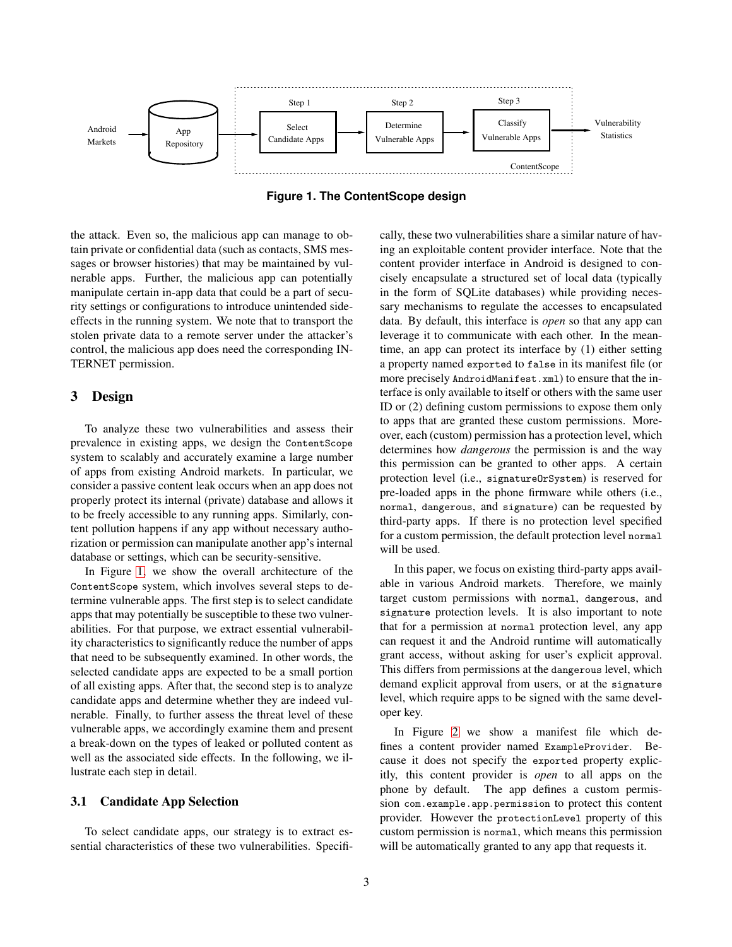

<span id="page-2-1"></span>**Figure 1. The ContentScope design**

the attack. Even so, the malicious app can manage to obtain private or confidential data (such as contacts, SMS messages or browser histories) that may be maintained by vulnerable apps. Further, the malicious app can potentially manipulate certain in-app data that could be a part of security settings or configurations to introduce unintended sideeffects in the running system. We note that to transport the stolen private data to a remote server under the attacker's control, the malicious app does need the corresponding IN-TERNET permission.

### <span id="page-2-0"></span>**3 Design**

To analyze these two vulnerabilities and assess their prevalence in existing apps, we design the ContentScope system to scalably and accurately examine a large number of apps from existing Android markets. In particular, we consider a passive content leak occurs when an app does not properly protect its internal (private) database and allows it to be freely accessible to any running apps. Similarly, content pollution happens if any app without necessary authorization or permission can manipulate another app's internal database or settings, which can be security-sensitive.

In Figure [1,](#page-2-1) we show the overall architecture of the ContentScope system, which involves several steps to determine vulnerable apps. The first step is to select candidate apps that may potentially be susceptible to these two vulnerabilities. For that purpose, we extract essential vulnerability characteristics to significantly reduce the number of apps that need to be subsequently examined. In other words, the selected candidate apps are expected to be a small portion of all existing apps. After that, the second step is to analyze candidate apps and determine whether they are indeed vulnerable. Finally, to further assess the threat level of these vulnerable apps, we accordingly examine them and present a break-down on the types of leaked or polluted content as well as the associated side effects. In the following, we illustrate each step in detail.

#### **3.1 Candidate App Selection**

To select candidate apps, our strategy is to extract essential characteristics of these two vulnerabilities. Specifi-

cally, these two vulnerabilities share a similar nature of having an exploitable content provider interface. Note that the content provider interface in Android is designed to concisely encapsulate a structured set of local data (typically in the form of SQLite databases) while providing necessary mechanisms to regulate the accesses to encapsulated data. By default, this interface is *open* so that any app can leverage it to communicate with each other. In the meantime, an app can protect its interface by (1) either setting a property named exported to false in its manifest file (or more precisely AndroidManifest.xml) to ensure that the interface is only available to itself or others with the same user ID or (2) defining custom permissions to expose them only to apps that are granted these custom permissions. Moreover, each (custom) permission has a protection level, which determines how *dangerous* the permission is and the way this permission can be granted to other apps. A certain protection level (i.e., signatureOrSystem) is reserved for pre-loaded apps in the phone firmware while others (i.e., normal, dangerous, and signature) can be requested by third-party apps. If there is no protection level specified for a custom permission, the default protection level normal will be used.

In this paper, we focus on existing third-party apps available in various Android markets. Therefore, we mainly target custom permissions with normal, dangerous, and signature protection levels. It is also important to note that for a permission at normal protection level, any app can request it and the Android runtime will automatically grant access, without asking for user's explicit approval. This differs from permissions at the dangerous level, which demand explicit approval from users, or at the signature level, which require apps to be signed with the same developer key.

In Figure [2](#page-3-0) we show a manifest file which defines a content provider named ExampleProvider. Because it does not specify the exported property explicitly, this content provider is *open* to all apps on the phone by default. The app defines a custom permission com.example.app.permission to protect this content provider. However the protectionLevel property of this custom permission is normal, which means this permission will be automatically granted to any app that requests it.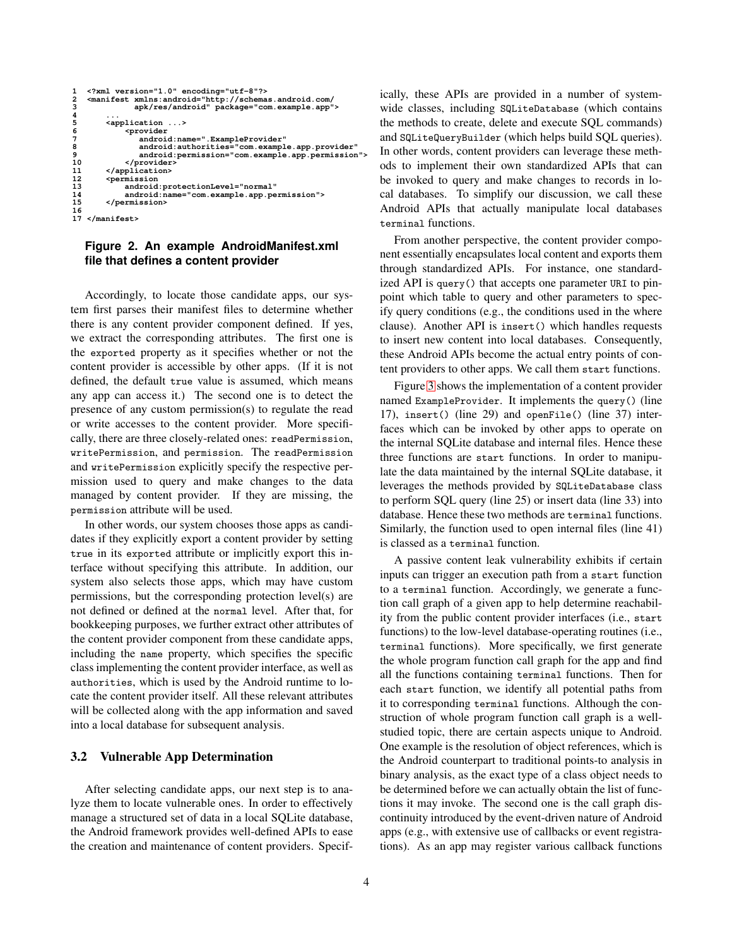```
1 <?xml version="1.0" encoding="utf-8"?>
2 <manifest xmlns:android="http://schemas.android.com/
3 apk/res/android" package="com.example.app">
 4 ...
5 <application ...>
\begin{tabular}{cc} 5 & \textbf{application} & \textbf{1} \\ 6 & \textbf{1} & \textbf{1} \\ 7 & \textbf{1} & \textbf{1} \\ 8 & \textbf{1} & \textbf{1} \\ 9 & \textbf{1} & \textbf{1} \\ 10 & \textbf{1} & \textbf{1} \\ 11 & \textbf{1} & \textbf{1} \\ 12 & \textbf{1} & \textbf{1} \\ 13 & \textbf{1} & \textbf{1} \\ 14 & \textbf{1} & \textbf{1} \\ 15 & \textbf{1} & \textbf{1} \\ \end{tabular}7 android:name=".ExampleProvider" 
                             8 android:authorities="com.example.app.provider" 
                             android:permission="com.example.app.permission
                       10 </provider>
               11 </application>
                    12 <permission 
                      13 android:protectionLevel="normal"
                       14 android:name="com.example.app.permission">
               15 </permission>
16
      17 </manifest>
```
### <span id="page-3-0"></span>**Figure 2. An example AndroidManifest.xml file that defines a content provider**

Accordingly, to locate those candidate apps, our system first parses their manifest files to determine whether there is any content provider component defined. If yes, we extract the corresponding attributes. The first one is the exported property as it specifies whether or not the content provider is accessible by other apps. (If it is not defined, the default true value is assumed, which means any app can access it.) The second one is to detect the presence of any custom permission(s) to regulate the read or write accesses to the content provider. More specifically, there are three closely-related ones: readPermission, writePermission, and permission. The readPermission and writePermission explicitly specify the respective permission used to query and make changes to the data managed by content provider. If they are missing, the permission attribute will be used.

In other words, our system chooses those apps as candidates if they explicitly export a content provider by setting true in its exported attribute or implicitly export this interface without specifying this attribute. In addition, our system also selects those apps, which may have custom permissions, but the corresponding protection level(s) are not defined or defined at the normal level. After that, for bookkeeping purposes, we further extract other attributes of the content provider component from these candidate apps, including the name property, which specifies the specific class implementing the content provider interface, as well as authorities, which is used by the Android runtime to locate the content provider itself. All these relevant attributes will be collected along with the app information and saved into a local database for subsequent analysis.

#### **3.2 Vulnerable App Determination**

After selecting candidate apps, our next step is to analyze them to locate vulnerable ones. In order to effectively manage a structured set of data in a local SQLite database, the Android framework provides well-defined APIs to ease the creation and maintenance of content providers. Specif-

ically, these APIs are provided in a number of systemwide classes, including SQLiteDatabase (which contains the methods to create, delete and execute SQL commands) and SQLiteQueryBuilder (which helps build SQL queries). In other words, content providers can leverage these methods to implement their own standardized APIs that can be invoked to query and make changes to records in local databases. To simplify our discussion, we call these Android APIs that actually manipulate local databases terminal functions.

From another perspective, the content provider component essentially encapsulates local content and exports them through standardized APIs. For instance, one standardized API is query() that accepts one parameter URI to pinpoint which table to query and other parameters to specify query conditions (e.g., the conditions used in the where clause). Another API is insert() which handles requests to insert new content into local databases. Consequently, these Android APIs become the actual entry points of content providers to other apps. We call them start functions.

Figure [3](#page-4-0) shows the implementation of a content provider named ExampleProvider. It implements the query() (line 17), insert() (line 29) and openFile() (line 37) interfaces which can be invoked by other apps to operate on the internal SQLite database and internal files. Hence these three functions are start functions. In order to manipulate the data maintained by the internal SQLite database, it leverages the methods provided by SQLiteDatabase class to perform SQL query (line 25) or insert data (line 33) into database. Hence these two methods are terminal functions. Similarly, the function used to open internal files (line 41) is classed as a terminal function.

A passive content leak vulnerability exhibits if certain inputs can trigger an execution path from a start function to a terminal function. Accordingly, we generate a function call graph of a given app to help determine reachability from the public content provider interfaces (i.e., start functions) to the low-level database-operating routines (i.e., terminal functions). More specifically, we first generate the whole program function call graph for the app and find all the functions containing terminal functions. Then for each start function, we identify all potential paths from it to corresponding terminal functions. Although the construction of whole program function call graph is a wellstudied topic, there are certain aspects unique to Android. One example is the resolution of object references, which is the Android counterpart to traditional points-to analysis in binary analysis, as the exact type of a class object needs to be determined before we can actually obtain the list of functions it may invoke. The second one is the call graph discontinuity introduced by the event-driven nature of Android apps (e.g., with extensive use of callbacks or event registrations). As an app may register various callback functions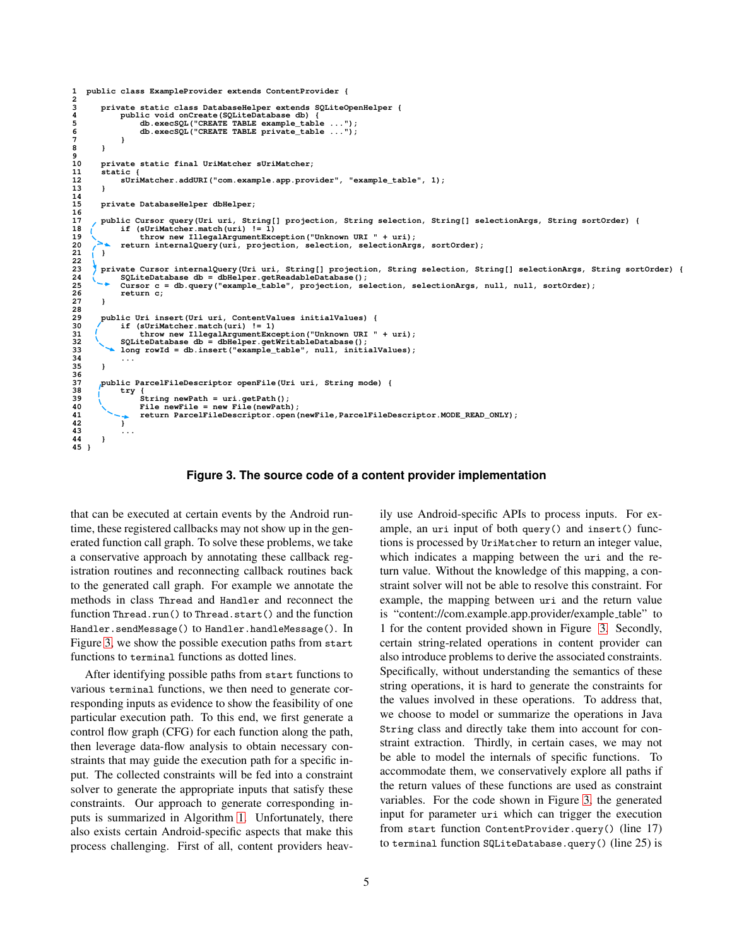```
1 public class ExampleProvider extends ContentProvider {
\begin{array}{c} 1 \\ 2 \\ 3 \end{array}3 private static class DatabaseHelper extends SQLiteOpenHelper {
4 public void onCreate(SQLiteDatabase db) {
5 db.execSQL("CREATE TABLE example_table ...");
                 db.execSQL("CREATE TABLE private_table ...
7 }
8 }
9 
       10 private static final UriMatcher sUriMatcher;
       11 static {
       12 sUriMatcher.addURI("com.example.app.provider", "example_table", 1);
13 }
14
       15 private DatabaseHelper dbHelper;
16
       17 public Cursor query(Uri uri, String[] projection, String selection, String[] selectionArgs, String sortOrder) {
18 if (sUriMatcher.match(uri) != 1)<br>19 throw new IllegalArgumentException("Unknown URI " + uri);
       20 return internalQuery(uri, projection, selection, selectionArgs, sortOrder);
21 }
22 
23 private Cursor internalQuery(Uri uri, String[] projection, String selection, String[] selectionArgs, String sortOrder) {
24 SQLiteDatabase db = dbHelper.getReadableDatabase();
            25 Cursor c = db.query("example_table", projection, selection, selectionArgs, null, null, sortOrder);
       <sup>2</sup> return c;
27 }
28
29 public Uri insert(Uri uri, ContentValues initialValues) {
30 if (sUriMatcher.match(uri) != 1) 
                 31 throw new IllegalArgumentException("Unknown URI " + uri);
32 SQLiteDatabase db = dbHelper.getWritableDatabase();
33 long rowId = db.insert("example_table", null, initialValues);
34 ...
35 }
36
       37 public ParcelFileDescriptor openFile(Uri uri, String mode) {
            38 try { 
                 39 String newPath = uri.getPath();
                 File newFile = new File(newPath);
                 41 return ParcelFileDescriptor.open(newFile,ParcelFileDescriptor.MODE_READ_ONLY); 
42 } 
43 ...
44 }
45 }
```
<span id="page-4-0"></span>**Figure 3. The source code of a content provider implementation**

that can be executed at certain events by the Android runtime, these registered callbacks may not show up in the generated function call graph. To solve these problems, we take a conservative approach by annotating these callback registration routines and reconnecting callback routines back to the generated call graph. For example we annotate the methods in class Thread and Handler and reconnect the function Thread.run() to Thread.start() and the function Handler.sendMessage() to Handler.handleMessage(). In Figure [3,](#page-4-0) we show the possible execution paths from start functions to terminal functions as dotted lines.

After identifying possible paths from start functions to various terminal functions, we then need to generate corresponding inputs as evidence to show the feasibility of one particular execution path. To this end, we first generate a control flow graph (CFG) for each function along the path, then leverage data-flow analysis to obtain necessary constraints that may guide the execution path for a specific input. The collected constraints will be fed into a constraint solver to generate the appropriate inputs that satisfy these constraints. Our approach to generate corresponding inputs is summarized in Algorithm [1.](#page-5-1) Unfortunately, there also exists certain Android-specific aspects that make this process challenging. First of all, content providers heav-

5

ily use Android-specific APIs to process inputs. For example, an uri input of both query() and insert() functions is processed by UriMatcher to return an integer value, which indicates a mapping between the uri and the return value. Without the knowledge of this mapping, a constraint solver will not be able to resolve this constraint. For example, the mapping between uri and the return value is "content://com.example.app.provider/example\_table" to 1 for the content provided shown in Figure [3.](#page-4-0) Secondly, certain string-related operations in content provider can also introduce problems to derive the associated constraints. Specifically, without understanding the semantics of these string operations, it is hard to generate the constraints for the values involved in these operations. To address that, we choose to model or summarize the operations in Java String class and directly take them into account for constraint extraction. Thirdly, in certain cases, we may not be able to model the internals of specific functions. To accommodate them, we conservatively explore all paths if the return values of these functions are used as constraint variables. For the code shown in Figure [3,](#page-4-0) the generated input for parameter uri which can trigger the execution from start function ContentProvider.query() (line 17) to terminal function SQLiteDatabase.query() (line 25) is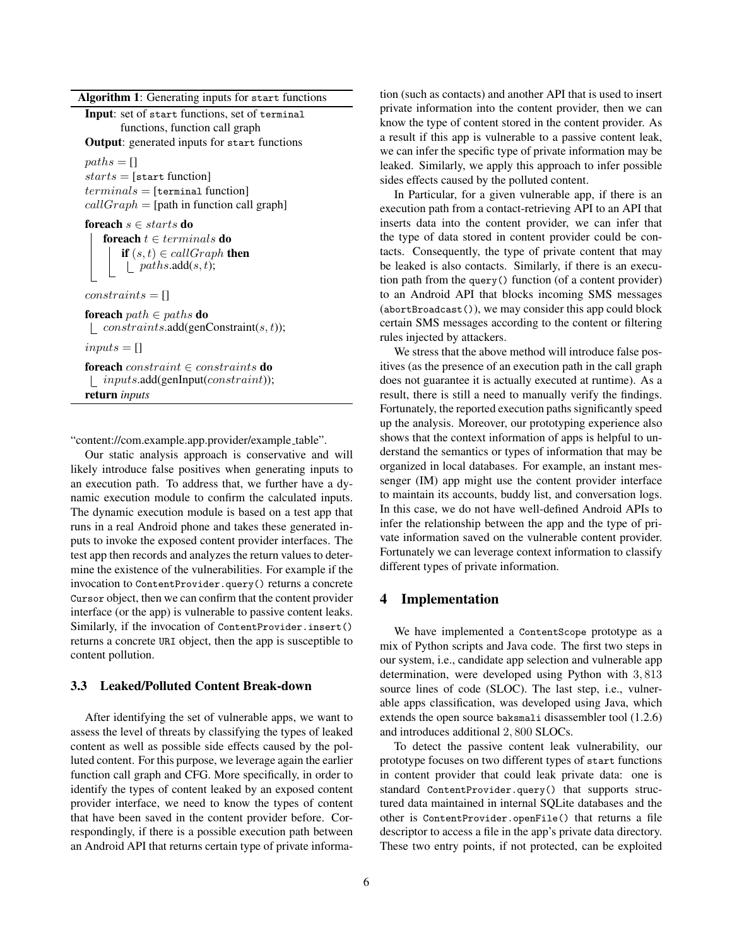**Algorithm 1**: Generating inputs for start functions

**Input**: set of start functions, set of terminal functions, function call graph

**Output**: generated inputs for start functions

 $paths = []$  $starts = [start function]$  $terminals = [terminal function]$  $callGraph = [path in function call graph]$ 

**foreach** s ∈ starts **do foreach**  $t \in terminals$  **do if**  $(s, t) \in \text{callGraph}$  **then**  $\lfloor$  paths.add(s, t);

 $constraints = []$ 

**foreach** path ∈ paths **do**  $\Box$  constraints.add(genConstraint(s, t));

 $inputs = []$ 

**foreach** constraint ∈ constraints **do**  $\lbrack$  *inputs.add(genInput(constraint))*; **return** *inputs*

<span id="page-5-1"></span>"content://com.example.app.provider/example\_table".

Our static analysis approach is conservative and will likely introduce false positives when generating inputs to an execution path. To address that, we further have a dynamic execution module to confirm the calculated inputs. The dynamic execution module is based on a test app that runs in a real Android phone and takes these generated inputs to invoke the exposed content provider interfaces. The test app then records and analyzes the return values to determine the existence of the vulnerabilities. For example if the invocation to ContentProvider.query() returns a concrete Cursor object, then we can confirm that the content provider interface (or the app) is vulnerable to passive content leaks. Similarly, if the invocation of ContentProvider.insert() returns a concrete URI object, then the app is susceptible to content pollution.

### **3.3 Leaked/Polluted Content Break-down**

After identifying the set of vulnerable apps, we want to assess the level of threats by classifying the types of leaked content as well as possible side effects caused by the polluted content. For this purpose, we leverage again the earlier function call graph and CFG. More specifically, in order to identify the types of content leaked by an exposed content provider interface, we need to know the types of content that have been saved in the content provider before. Correspondingly, if there is a possible execution path between an Android API that returns certain type of private informa-

tion (such as contacts) and another API that is used to insert private information into the content provider, then we can know the type of content stored in the content provider. As a result if this app is vulnerable to a passive content leak, we can infer the specific type of private information may be leaked. Similarly, we apply this approach to infer possible sides effects caused by the polluted content.

In Particular, for a given vulnerable app, if there is an execution path from a contact-retrieving API to an API that inserts data into the content provider, we can infer that the type of data stored in content provider could be contacts. Consequently, the type of private content that may be leaked is also contacts. Similarly, if there is an execution path from the query() function (of a content provider) to an Android API that blocks incoming SMS messages (abortBroadcast()), we may consider this app could block certain SMS messages according to the content or filtering rules injected by attackers.

We stress that the above method will introduce false positives (as the presence of an execution path in the call graph does not guarantee it is actually executed at runtime). As a result, there is still a need to manually verify the findings. Fortunately, the reported execution paths significantly speed up the analysis. Moreover, our prototyping experience also shows that the context information of apps is helpful to understand the semantics or types of information that may be organized in local databases. For example, an instant messenger (IM) app might use the content provider interface to maintain its accounts, buddy list, and conversation logs. In this case, we do not have well-defined Android APIs to infer the relationship between the app and the type of private information saved on the vulnerable content provider. Fortunately we can leverage context information to classify different types of private information.

### <span id="page-5-0"></span>**4 Implementation**

We have implemented a ContentScope prototype as a mix of Python scripts and Java code. The first two steps in our system, i.e., candidate app selection and vulnerable app determination, were developed using Python with 3, 813 source lines of code (SLOC). The last step, i.e., vulnerable apps classification, was developed using Java, which extends the open source baksmali disassembler tool (1.2.6) and introduces additional 2, 800 SLOCs.

To detect the passive content leak vulnerability, our prototype focuses on two different types of start functions in content provider that could leak private data: one is standard ContentProvider.query() that supports structured data maintained in internal SQLite databases and the other is ContentProvider.openFile() that returns a file descriptor to access a file in the app's private data directory. These two entry points, if not protected, can be exploited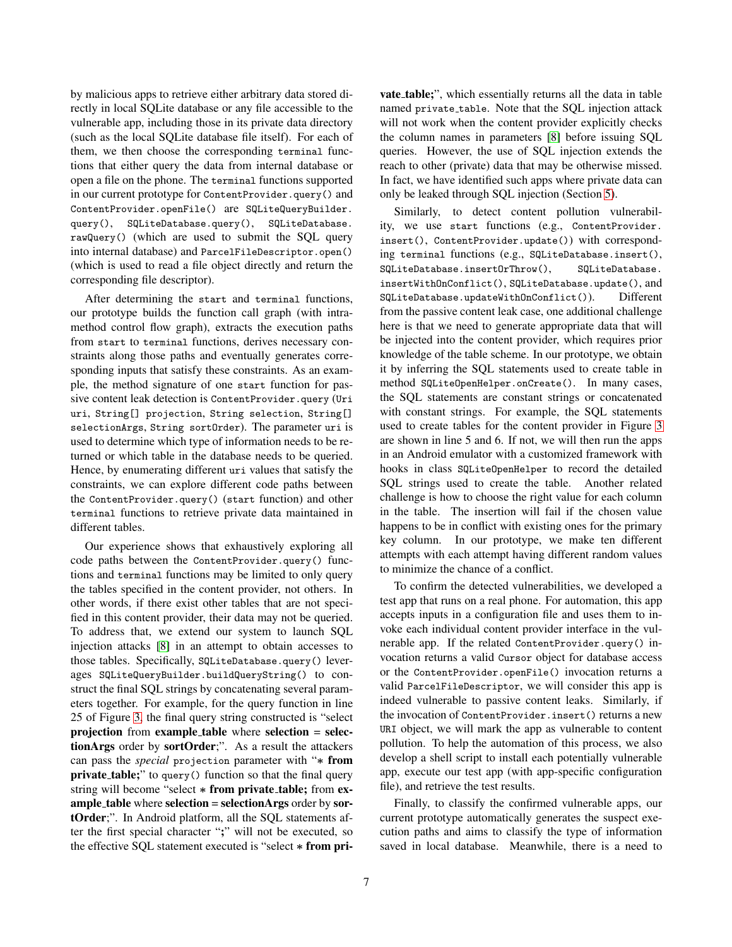by malicious apps to retrieve either arbitrary data stored directly in local SQLite database or any file accessible to the vulnerable app, including those in its private data directory (such as the local SQLite database file itself). For each of them, we then choose the corresponding terminal functions that either query the data from internal database or open a file on the phone. The terminal functions supported in our current prototype for ContentProvider.query() and ContentProvider.openFile() are SQLiteQueryBuilder. query(), SQLiteDatabase.query(), SQLiteDatabase. rawQuery() (which are used to submit the SQL query into internal database) and ParcelFileDescriptor.open() (which is used to read a file object directly and return the corresponding file descriptor).

After determining the start and terminal functions, our prototype builds the function call graph (with intramethod control flow graph), extracts the execution paths from start to terminal functions, derives necessary constraints along those paths and eventually generates corresponding inputs that satisfy these constraints. As an example, the method signature of one start function for passive content leak detection is ContentProvider.query (Uri uri, String[] projection, String selection, String[] selectionArgs, String sortOrder). The parameter uri is used to determine which type of information needs to be returned or which table in the database needs to be queried. Hence, by enumerating different uri values that satisfy the constraints, we can explore different code paths between the ContentProvider.query() (start function) and other terminal functions to retrieve private data maintained in different tables.

Our experience shows that exhaustively exploring all code paths between the ContentProvider.query() functions and terminal functions may be limited to only query the tables specified in the content provider, not others. In other words, if there exist other tables that are not specified in this content provider, their data may not be queried. To address that, we extend our system to launch SQL injection attacks [\[8\]](#page-14-11) in an attempt to obtain accesses to those tables. Specifically, SQLiteDatabase.query() leverages SQLiteQueryBuilder.buildQueryString() to construct the final SQL strings by concatenating several parameters together. For example, for the query function in line 25 of Figure [3,](#page-4-0) the final query string constructed is "select **projection** from **example table** where **selection** = **selectionArgs** order by **sortOrder**;". As a result the attackers can pass the *special* projection parameter with "∗ **from private\_table;**" to query() function so that the final query string will become "select ∗ **from private table;** from **example table** where **selection** = **selectionArgs** order by **sortOrder**;". In Android platform, all the SQL statements after the first special character "**;**" will not be executed, so the effective SQL statement executed is "select ∗ **from pri-**

**vate table;**", which essentially returns all the data in table named private\_table. Note that the SQL injection attack will not work when the content provider explicitly checks the column names in parameters [\[8\]](#page-14-11) before issuing SQL queries. However, the use of SQL injection extends the reach to other (private) data that may be otherwise missed. In fact, we have identified such apps where private data can only be leaked through SQL injection (Section [5\)](#page-7-0).

Similarly, to detect content pollution vulnerability, we use start functions (e.g., ContentProvider. insert(), ContentProvider.update()) with corresponding terminal functions (e.g., SQLiteDatabase.insert(), SQLiteDatabase.insertOrThrow(), SQLiteDatabase. insertWithOnConflict(), SQLiteDatabase.update(), and SQLiteDatabase.updateWithOnConflict()). Different from the passive content leak case, one additional challenge here is that we need to generate appropriate data that will be injected into the content provider, which requires prior knowledge of the table scheme. In our prototype, we obtain it by inferring the SQL statements used to create table in method SQLiteOpenHelper.onCreate(). In many cases, the SQL statements are constant strings or concatenated with constant strings. For example, the SQL statements used to create tables for the content provider in Figure [3](#page-4-0) are shown in line 5 and 6. If not, we will then run the apps in an Android emulator with a customized framework with hooks in class SQLiteOpenHelper to record the detailed SQL strings used to create the table. Another related challenge is how to choose the right value for each column in the table. The insertion will fail if the chosen value happens to be in conflict with existing ones for the primary key column. In our prototype, we make ten different attempts with each attempt having different random values to minimize the chance of a conflict.

To confirm the detected vulnerabilities, we developed a test app that runs on a real phone. For automation, this app accepts inputs in a configuration file and uses them to invoke each individual content provider interface in the vulnerable app. If the related ContentProvider.query() invocation returns a valid Cursor object for database access or the ContentProvider.openFile() invocation returns a valid ParcelFileDescriptor, we will consider this app is indeed vulnerable to passive content leaks. Similarly, if the invocation of ContentProvider.insert() returns a new URI object, we will mark the app as vulnerable to content pollution. To help the automation of this process, we also develop a shell script to install each potentially vulnerable app, execute our test app (with app-specific configuration file), and retrieve the test results.

Finally, to classify the confirmed vulnerable apps, our current prototype automatically generates the suspect execution paths and aims to classify the type of information saved in local database. Meanwhile, there is a need to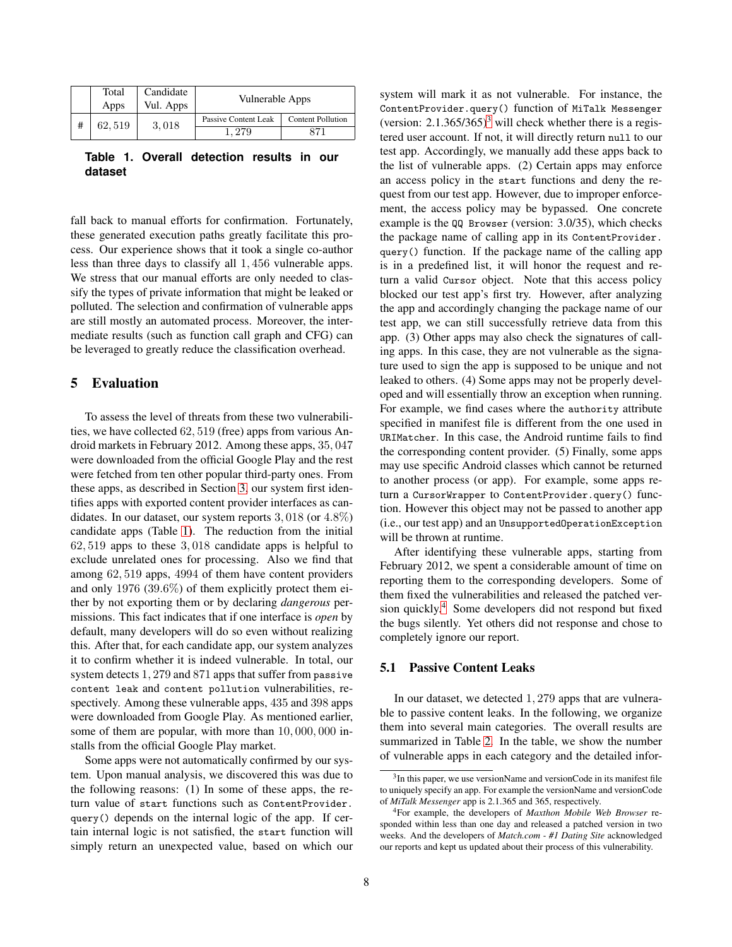| Total<br>Apps | Candidate<br>Vul. Apps | Vulnerable Apps               |                          |
|---------------|------------------------|-------------------------------|--------------------------|
| 62, 519       | 3,018                  | Passive Content Leak<br>. 279 | <b>Content Pollution</b> |

<span id="page-7-1"></span>**Table 1. Overall detection results in our dataset**

fall back to manual efforts for confirmation. Fortunately, these generated execution paths greatly facilitate this process. Our experience shows that it took a single co-author less than three days to classify all 1, 456 vulnerable apps. We stress that our manual efforts are only needed to classify the types of private information that might be leaked or polluted. The selection and confirmation of vulnerable apps are still mostly an automated process. Moreover, the intermediate results (such as function call graph and CFG) can be leveraged to greatly reduce the classification overhead.

### <span id="page-7-0"></span>**5 Evaluation**

To assess the level of threats from these two vulnerabilities, we have collected 62, 519 (free) apps from various Android markets in February 2012. Among these apps, 35, 047 were downloaded from the official Google Play and the rest were fetched from ten other popular third-party ones. From these apps, as described in Section [3,](#page-2-0) our system first identifies apps with exported content provider interfaces as candidates. In our dataset, our system reports  $3,018$  (or  $4.8\%$ ) candidate apps (Table [1\)](#page-7-1). The reduction from the initial 62, 519 apps to these 3, 018 candidate apps is helpful to exclude unrelated ones for processing. Also we find that among 62, 519 apps, 4994 of them have content providers and only 1976 (39.6%) of them explicitly protect them either by not exporting them or by declaring *dangerous* permissions. This fact indicates that if one interface is *open* by default, many developers will do so even without realizing this. After that, for each candidate app, our system analyzes it to confirm whether it is indeed vulnerable. In total, our system detects 1, 279 and 871 apps that suffer from passive content leak and content pollution vulnerabilities, respectively. Among these vulnerable apps, 435 and 398 apps were downloaded from Google Play. As mentioned earlier, some of them are popular, with more than 10,000,000 installs from the official Google Play market.

Some apps were not automatically confirmed by our system. Upon manual analysis, we discovered this was due to the following reasons: (1) In some of these apps, the return value of start functions such as ContentProvider. query() depends on the internal logic of the app. If certain internal logic is not satisfied, the start function will simply return an unexpected value, based on which our

system will mark it as not vulnerable. For instance, the ContentProvider.query() function of MiTalk Messenger (version:  $2.1.365/365$  $2.1.365/365$  $2.1.365/365$ <sup>3</sup> will check whether there is a registered user account. If not, it will directly return null to our test app. Accordingly, we manually add these apps back to the list of vulnerable apps. (2) Certain apps may enforce an access policy in the start functions and deny the request from our test app. However, due to improper enforcement, the access policy may be bypassed. One concrete example is the QQ Browser (version: 3.0/35), which checks the package name of calling app in its ContentProvider. query() function. If the package name of the calling app is in a predefined list, it will honor the request and return a valid Cursor object. Note that this access policy blocked our test app's first try. However, after analyzing the app and accordingly changing the package name of our test app, we can still successfully retrieve data from this app. (3) Other apps may also check the signatures of calling apps. In this case, they are not vulnerable as the signature used to sign the app is supposed to be unique and not leaked to others. (4) Some apps may not be properly developed and will essentially throw an exception when running. For example, we find cases where the authority attribute specified in manifest file is different from the one used in URIMatcher. In this case, the Android runtime fails to find the corresponding content provider. (5) Finally, some apps may use specific Android classes which cannot be returned to another process (or app). For example, some apps return a CursorWrapper to ContentProvider.query() function. However this object may not be passed to another app (i.e., our test app) and an UnsupportedOperationException will be thrown at runtime.

After identifying these vulnerable apps, starting from February 2012, we spent a considerable amount of time on reporting them to the corresponding developers. Some of them fixed the vulnerabilities and released the patched ver-sion quickly.<sup>[4](#page-7-3)</sup> Some developers did not respond but fixed the bugs silently. Yet others did not response and chose to completely ignore our report.

#### **5.1 Passive Content Leaks**

In our dataset, we detected 1, 279 apps that are vulnerable to passive content leaks. In the following, we organize them into several main categories. The overall results are summarized in Table [2.](#page-8-0) In the table, we show the number of vulnerable apps in each category and the detailed infor-

<span id="page-7-2"></span><sup>&</sup>lt;sup>3</sup>In this paper, we use versionName and versionCode in its manifest file to uniquely specify an app. For example the versionName and versionCode of *MiTalk Messenger* app is 2.1.365 and 365, respectively.

<span id="page-7-3"></span><sup>4</sup>For example, the developers of *Maxthon Mobile Web Browser* responded within less than one day and released a patched version in two weeks. And the developers of *Match.com - #1 Dating Site* acknowledged our reports and kept us updated about their process of this vulnerability.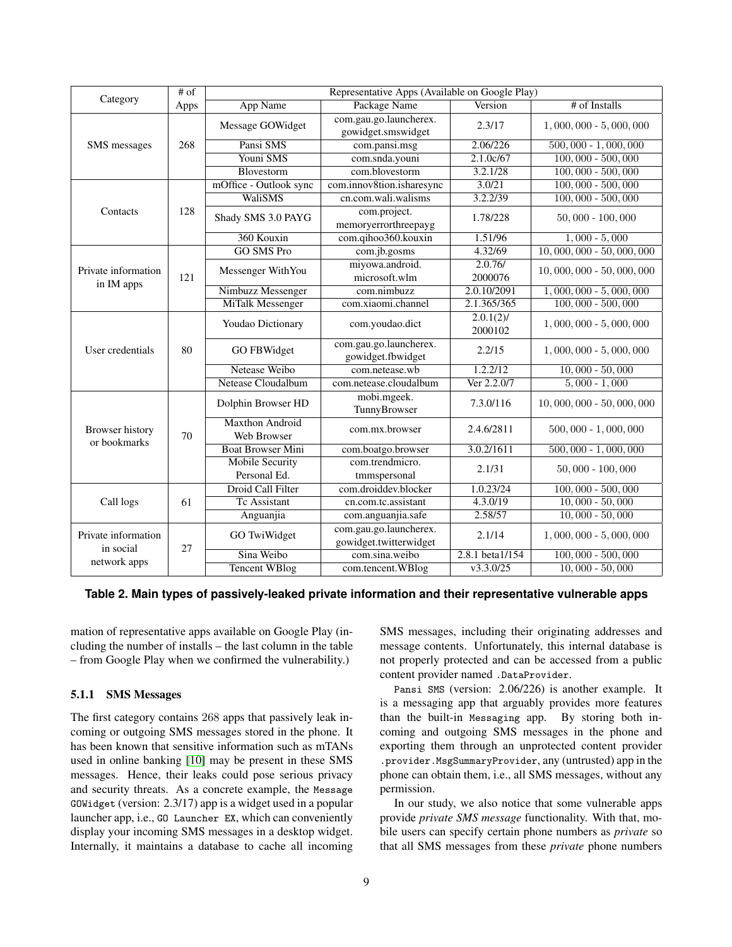| Category                          | $#$ of | Representative Apps (Available on Google Play) |                                                  |                         |                           |  |
|-----------------------------------|--------|------------------------------------------------|--------------------------------------------------|-------------------------|---------------------------|--|
|                                   | Apps   | App Name                                       | Package Name                                     | Version                 | # of Installs             |  |
|                                   |        | Message GOWidget                               | com.gau.go.launcherex.<br>gowidget.smswidget     | 2.3/17                  | $1,000,000 - 5,000,000$   |  |
| SMS messages                      | 268    | Pansi SMS                                      | com.pansi.msg                                    | 2.06/226                | $500,000 - 1,000,000$     |  |
|                                   |        | Youni SMS                                      | com.snda.youni                                   | 2.1.0c/67               | $100,000 - 500,000$       |  |
|                                   |        | Blovestorm                                     | com.blovestorm                                   | 3.2.1/28                | $100,000 - 500,000$       |  |
|                                   | 128    | mOffice - Outlook sync                         | com.innov8tion.isharesync                        | 3.0/21                  | $100,000 - 500,000$       |  |
|                                   |        | WaliSMS                                        | cn.com.wali.walisms                              | 3.2.2/39                | $100,000 - 500,000$       |  |
| Contacts                          |        | Shady SMS 3.0 PAYG                             | com.project.<br>memoryerrorthreepayg             | 1.78/228                | $50,000 - 100,000$        |  |
|                                   |        | 360 Kouxin                                     | com.qihoo360.kouxin                              | 1.51/96                 | $1,000 - 5,000$           |  |
|                                   |        | <b>GO SMS Pro</b>                              | com.jb.gosms                                     | 4.32/69                 | $10,000,000 - 50,000,000$ |  |
| Private information<br>in IM apps | 121    | Messenger WithYou                              | miyowa.android.<br>microsoft.wlm                 | 2.0.76/<br>2000076      | $10,000,000 - 50,000,000$ |  |
|                                   |        | Nimbuzz Messenger                              | com.nimbuzz                                      | 2.0.10/2091             | $1,000,000 - 5,000,000$   |  |
|                                   |        | <b>MiTalk Messenger</b>                        | com.xiaomi.channel                               | 2.1.365/365             | $100,000 - 500,000$       |  |
|                                   |        | Youdao Dictionary                              | com.youdao.dict                                  | $2.0.1(2)$ /<br>2000102 | $1,000,000 - 5,000,000$   |  |
| User credentials                  | 80     | <b>GO FBWidget</b>                             | com.gau.go.launcherex.<br>gowidget.fbwidget      | 2.2/15                  | $1,000,000 - 5,000,000$   |  |
|                                   |        | Netease Weibo                                  | com.netease.wh                                   | 1.2.2/12                | $10,000 - 50,000$         |  |
|                                   |        | <b>Netease Cloudalbum</b>                      | com.netease.cloudalbum                           | Ver 2.2.0/7             | $5,000 - 1,000$           |  |
|                                   |        | Dolphin Browser HD                             | mobi.mgeek.<br>TunnyBrowser                      | 7.3.0/116               | $10,000,000 - 50,000,000$ |  |
| Browser history<br>or bookmarks   | 70     | <b>Maxthon Android</b><br>Web Browser          | com.mx.browser                                   | 2.4.6/2811              | $500,000 - 1,000,000$     |  |
|                                   |        | <b>Boat Browser Mini</b>                       | com.boatgo.browser                               | 3.0.2/1611              | $500,000 - 1,000,000$     |  |
|                                   |        | <b>Mobile Security</b><br>Personal Ed.         | com.trendmicro.<br>tmmspersonal                  | 2.1/31                  | $50,000 - 100,000$        |  |
|                                   | 61     | Droid Call Filter                              | com.droiddev.blocker                             | 1.0.23/24               | $100,000 - 500,000$       |  |
| Call logs                         |        | Tc Assistant                                   | cn.com.tc.assistant                              | 4.3.0/19                | $10,000 - 50,000$         |  |
|                                   |        | Anguanjia                                      | com.anguanjia.safe                               | 2.58/57                 | $10,000 - 50,000$         |  |
| Private information<br>in social  | 27     | GO TwiWidget                                   | com.gau.go.launcherex.<br>gowidget.twitterwidget | 2.1/14                  | $1,000,000 - 5,000,000$   |  |
| network apps                      |        | Sina Weibo                                     | com.sina.weibo                                   | 2.8.1 beta1/154         | $100,000 - 500,000$       |  |
|                                   |        | <b>Tencent WBlog</b>                           | com.tencent.WBlog                                | v3.3.0/25               | $10,000 - 50,000$         |  |

#### **Table 2. Main types of passively-leaked private information and their representative vulnerable apps**

<span id="page-8-0"></span>mation of representative apps available on Google Play (including the number of installs – the last column in the table – from Google Play when we confirmed the vulnerability.)

#### **5.1.1 SMS Messages**

The first category contains 268 apps that passively leak incoming or outgoing SMS messages stored in the phone. It has been known that sensitive information such as mTANs used in online banking [\[10\]](#page-14-12) may be present in these SMS messages. Hence, their leaks could pose serious privacy and security threats. As a concrete example, the Message GOWidget (version: 2.3/17) app is a widget used in a popular launcher app, i.e., GO Launcher EX, which can conveniently display your incoming SMS messages in a desktop widget. Internally, it maintains a database to cache all incoming SMS messages, including their originating addresses and message contents. Unfortunately, this internal database is not properly protected and can be accessed from a public content provider named .DataProvider.

Pansi SMS (version: 2.06/226) is another example. It is a messaging app that arguably provides more features than the built-in Messaging app. By storing both incoming and outgoing SMS messages in the phone and exporting them through an unprotected content provider .provider.MsgSummaryProvider, any (untrusted) app in the phone can obtain them, i.e., all SMS messages, without any permission.

In our study, we also notice that some vulnerable apps provide *private SMS message* functionality. With that, mobile users can specify certain phone numbers as *private* so that all SMS messages from these *private* phone numbers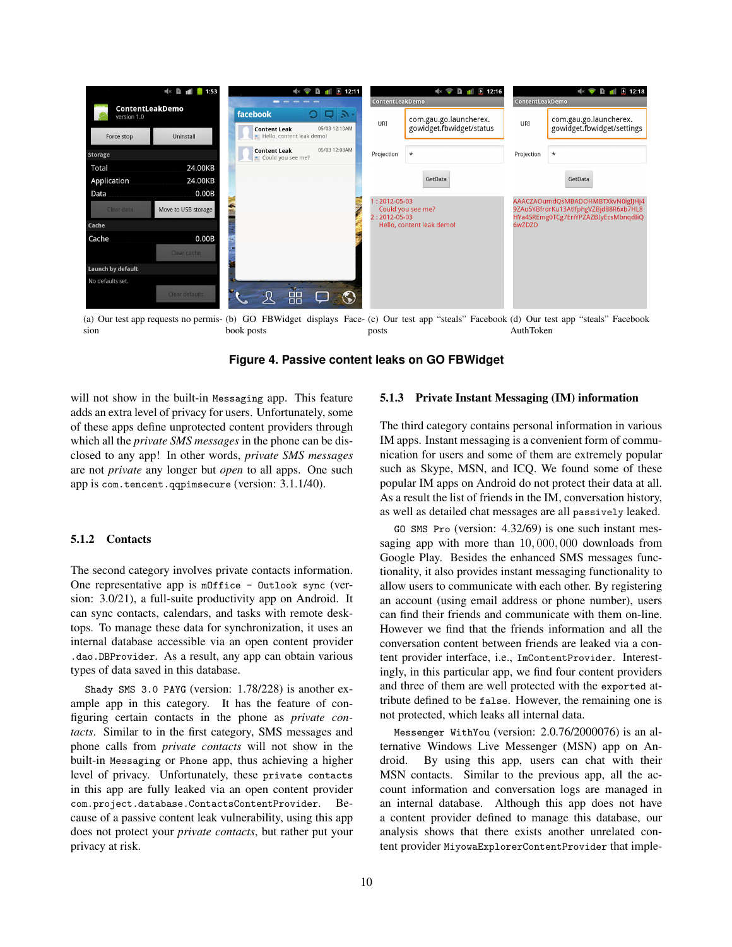<span id="page-9-0"></span>

(a) Our test app requests no permis-(b) GO FBWidget displays Face-(c) Our test app "steals" Facebook (d) Our test app "steals" Facebook sion book posts posts AuthToken

<span id="page-9-3"></span><span id="page-9-2"></span>**Figure 4. Passive content leaks on GO FBWidget**

will not show in the built-in Messaging app. This feature adds an extra level of privacy for users. Unfortunately, some of these apps define unprotected content providers through which all the *private SMS messages* in the phone can be disclosed to any app! In other words, *private SMS messages* are not *private* any longer but *open* to all apps. One such app is com.tencent.qqpimsecure (version: 3.1.1/40).

### **5.1.2 Contacts**

The second category involves private contacts information. One representative app is mOffice - Outlook sync (version: 3.0/21), a full-suite productivity app on Android. It can sync contacts, calendars, and tasks with remote desktops. To manage these data for synchronization, it uses an internal database accessible via an open content provider .dao.DBProvider. As a result, any app can obtain various types of data saved in this database.

Shady SMS 3.0 PAYG (version: 1.78/228) is another example app in this category. It has the feature of configuring certain contacts in the phone as *private contacts*. Similar to in the first category, SMS messages and phone calls from *private contacts* will not show in the built-in Messaging or Phone app, thus achieving a higher level of privacy. Unfortunately, these private contacts in this app are fully leaked via an open content provider com.project.database.ContactsContentProvider. Because of a passive content leak vulnerability, using this app does not protect your *private contacts*, but rather put your privacy at risk.

#### <span id="page-9-1"></span>**5.1.3 Private Instant Messaging (IM) information**

The third category contains personal information in various IM apps. Instant messaging is a convenient form of communication for users and some of them are extremely popular such as Skype, MSN, and ICQ. We found some of these popular IM apps on Android do not protect their data at all. As a result the list of friends in the IM, conversation history, as well as detailed chat messages are all passively leaked.

GO SMS Pro (version: 4.32/69) is one such instant messaging app with more than 10, 000, 000 downloads from Google Play. Besides the enhanced SMS messages functionality, it also provides instant messaging functionality to allow users to communicate with each other. By registering an account (using email address or phone number), users can find their friends and communicate with them on-line. However we find that the friends information and all the conversation content between friends are leaked via a content provider interface, i.e., ImContentProvider. Interestingly, in this particular app, we find four content providers and three of them are well protected with the exported attribute defined to be false. However, the remaining one is not protected, which leaks all internal data.

Messenger WithYou (version: 2.0.76/2000076) is an alternative Windows Live Messenger (MSN) app on Android. By using this app, users can chat with their MSN contacts. Similar to the previous app, all the account information and conversation logs are managed in an internal database. Although this app does not have a content provider defined to manage this database, our analysis shows that there exists another unrelated content provider MiyowaExplorerContentProvider that imple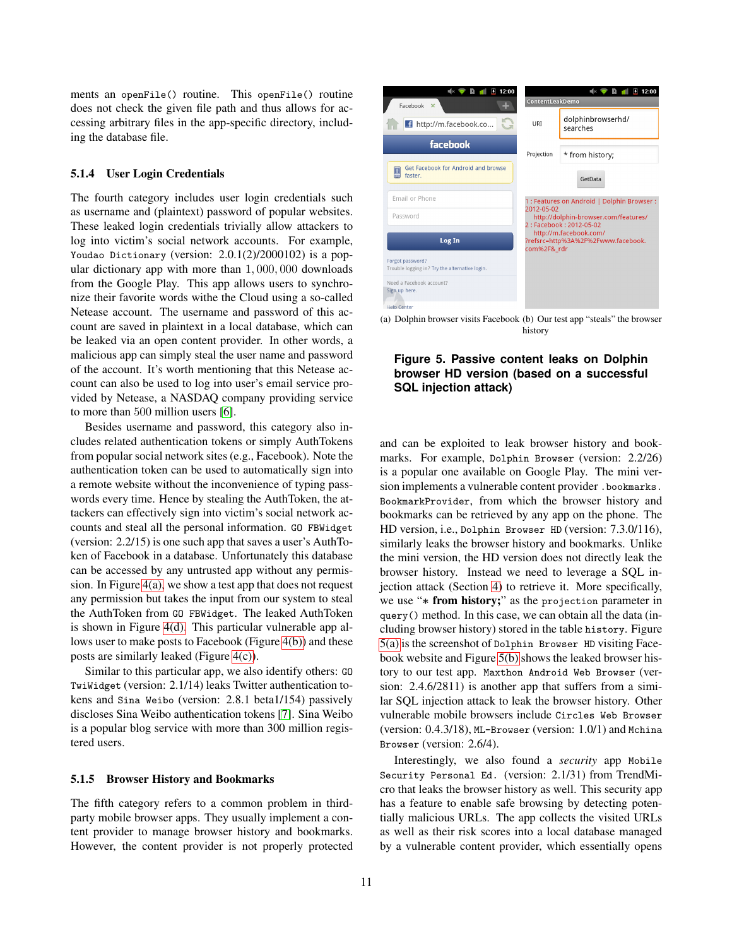ments an openFile() routine. This openFile() routine does not check the given file path and thus allows for accessing arbitrary files in the app-specific directory, including the database file.

#### **5.1.4 User Login Credentials**

The fourth category includes user login credentials such as username and (plaintext) password of popular websites. These leaked login credentials trivially allow attackers to log into victim's social network accounts. For example, Youdao Dictionary (version: 2.0.1(2)/2000102) is a popular dictionary app with more than 1, 000, 000 downloads from the Google Play. This app allows users to synchronize their favorite words withe the Cloud using a so-called Netease account. The username and password of this account are saved in plaintext in a local database, which can be leaked via an open content provider. In other words, a malicious app can simply steal the user name and password of the account. It's worth mentioning that this Netease account can also be used to log into user's email service provided by Netease, a NASDAQ company providing service to more than 500 million users [\[6\]](#page-14-13).

Besides username and password, this category also includes related authentication tokens or simply AuthTokens from popular social network sites (e.g., Facebook). Note the authentication token can be used to automatically sign into a remote website without the inconvenience of typing passwords every time. Hence by stealing the AuthToken, the attackers can effectively sign into victim's social network accounts and steal all the personal information. GO FBWidget (version: 2.2/15) is one such app that saves a user's AuthToken of Facebook in a database. Unfortunately this database can be accessed by any untrusted app without any permission. In Figure [4\(a\),](#page-9-0) we show a test app that does not request any permission but takes the input from our system to steal the AuthToken from GO FBWidget. The leaked AuthToken is shown in Figure [4\(d\).](#page-9-1) This particular vulnerable app allows user to make posts to Facebook (Figure [4\(b\)\)](#page-9-2) and these posts are similarly leaked (Figure [4\(c\)\)](#page-9-3).

Similar to this particular app, we also identify others: GO TwiWidget (version: 2.1/14) leaks Twitter authentication tokens and Sina Weibo (version: 2.8.1 beta1/154) passively discloses Sina Weibo authentication tokens [\[7\]](#page-14-14). Sina Weibo is a popular blog service with more than 300 million registered users.

#### **5.1.5 Browser History and Bookmarks**

The fifth category refers to a common problem in thirdparty mobile browser apps. They usually implement a content provider to manage browser history and bookmarks. However, the content provider is not properly protected

<span id="page-10-0"></span>

<span id="page-10-1"></span>(a) Dolphin browser visits Facebook (b) Our test app "steals" the browser history

### **Figure 5. Passive content leaks on Dolphin browser HD version (based on a successful SQL injection attack)**

and can be exploited to leak browser history and bookmarks. For example, Dolphin Browser (version: 2.2/26) is a popular one available on Google Play. The mini version implements a vulnerable content provider .bookmarks. BookmarkProvider, from which the browser history and bookmarks can be retrieved by any app on the phone. The HD version, i.e., Dolphin Browser HD (version: 7.3.0/116), similarly leaks the browser history and bookmarks. Unlike the mini version, the HD version does not directly leak the browser history. Instead we need to leverage a SQL injection attack (Section [4\)](#page-5-0) to retrieve it. More specifically, we use "∗ **from history;**" as the projection parameter in query() method. In this case, we can obtain all the data (including browser history) stored in the table history. Figure [5\(a\)](#page-10-0) is the screenshot of Dolphin Browser HD visiting Facebook website and Figure [5\(b\)](#page-10-1) shows the leaked browser history to our test app. Maxthon Android Web Browser (version: 2.4.6/2811) is another app that suffers from a similar SQL injection attack to leak the browser history. Other vulnerable mobile browsers include Circles Web Browser (version: 0.4.3/18), ML-Browser (version: 1.0/1) and Mchina Browser (version: 2.6/4).

Interestingly, we also found a *security* app Mobile Security Personal Ed. (version: 2.1/31) from TrendMicro that leaks the browser history as well. This security app has a feature to enable safe browsing by detecting potentially malicious URLs. The app collects the visited URLs as well as their risk scores into a local database managed by a vulnerable content provider, which essentially opens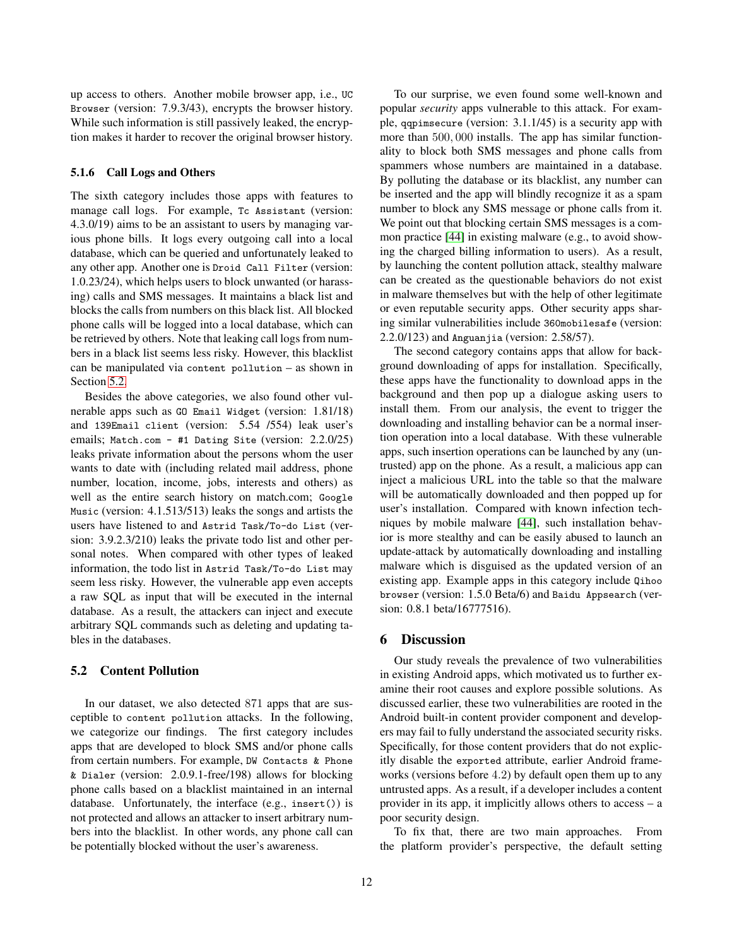up access to others. Another mobile browser app, i.e., UC Browser (version: 7.9.3/43), encrypts the browser history. While such information is still passively leaked, the encryption makes it harder to recover the original browser history.

#### **5.1.6 Call Logs and Others**

The sixth category includes those apps with features to manage call logs. For example, Tc Assistant (version: 4.3.0/19) aims to be an assistant to users by managing various phone bills. It logs every outgoing call into a local database, which can be queried and unfortunately leaked to any other app. Another one is Droid Call Filter (version: 1.0.23/24), which helps users to block unwanted (or harassing) calls and SMS messages. It maintains a black list and blocks the calls from numbers on this black list. All blocked phone calls will be logged into a local database, which can be retrieved by others. Note that leaking call logs from numbers in a black list seems less risky. However, this blacklist can be manipulated via content pollution – as shown in Section [5.2.](#page-11-1)

Besides the above categories, we also found other vulnerable apps such as GO Email Widget (version: 1.81/18) and 139Email client (version: 5.54 /554) leak user's emails; Match.com - #1 Dating Site (version: 2.2.0/25) leaks private information about the persons whom the user wants to date with (including related mail address, phone number, location, income, jobs, interests and others) as well as the entire search history on match.com; Google Music (version: 4.1.513/513) leaks the songs and artists the users have listened to and Astrid Task/To-do List (version: 3.9.2.3/210) leaks the private todo list and other personal notes. When compared with other types of leaked information, the todo list in Astrid Task/To-do List may seem less risky. However, the vulnerable app even accepts a raw SQL as input that will be executed in the internal database. As a result, the attackers can inject and execute arbitrary SQL commands such as deleting and updating tables in the databases.

### <span id="page-11-1"></span>**5.2 Content Pollution**

In our dataset, we also detected 871 apps that are susceptible to content pollution attacks. In the following, we categorize our findings. The first category includes apps that are developed to block SMS and/or phone calls from certain numbers. For example, DW Contacts & Phone & Dialer (version: 2.0.9.1-free/198) allows for blocking phone calls based on a blacklist maintained in an internal database. Unfortunately, the interface (e.g., insert()) is not protected and allows an attacker to insert arbitrary numbers into the blacklist. In other words, any phone call can be potentially blocked without the user's awareness.

To our surprise, we even found some well-known and popular *security* apps vulnerable to this attack. For example, qqpimsecure (version: 3.1.1/45) is a security app with more than 500, 000 installs. The app has similar functionality to block both SMS messages and phone calls from spammers whose numbers are maintained in a database. By polluting the database or its blacklist, any number can be inserted and the app will blindly recognize it as a spam number to block any SMS message or phone calls from it. We point out that blocking certain SMS messages is a common practice [\[44\]](#page-15-0) in existing malware (e.g., to avoid showing the charged billing information to users). As a result, by launching the content pollution attack, stealthy malware can be created as the questionable behaviors do not exist in malware themselves but with the help of other legitimate or even reputable security apps. Other security apps sharing similar vulnerabilities include 360mobilesafe (version: 2.2.0/123) and Anguanjia (version: 2.58/57).

The second category contains apps that allow for background downloading of apps for installation. Specifically, these apps have the functionality to download apps in the background and then pop up a dialogue asking users to install them. From our analysis, the event to trigger the downloading and installing behavior can be a normal insertion operation into a local database. With these vulnerable apps, such insertion operations can be launched by any (untrusted) app on the phone. As a result, a malicious app can inject a malicious URL into the table so that the malware will be automatically downloaded and then popped up for user's installation. Compared with known infection techniques by mobile malware [\[44\]](#page-15-0), such installation behavior is more stealthy and can be easily abused to launch an update-attack by automatically downloading and installing malware which is disguised as the updated version of an existing app. Example apps in this category include Qihoo browser (version: 1.5.0 Beta/6) and Baidu Appsearch (version: 0.8.1 beta/16777516).

#### <span id="page-11-0"></span>**6 Discussion**

Our study reveals the prevalence of two vulnerabilities in existing Android apps, which motivated us to further examine their root causes and explore possible solutions. As discussed earlier, these two vulnerabilities are rooted in the Android built-in content provider component and developers may fail to fully understand the associated security risks. Specifically, for those content providers that do not explicitly disable the exported attribute, earlier Android frameworks (versions before 4.2) by default open them up to any untrusted apps. As a result, if a developer includes a content provider in its app, it implicitly allows others to access – a poor security design.

To fix that, there are two main approaches. From the platform provider's perspective, the default setting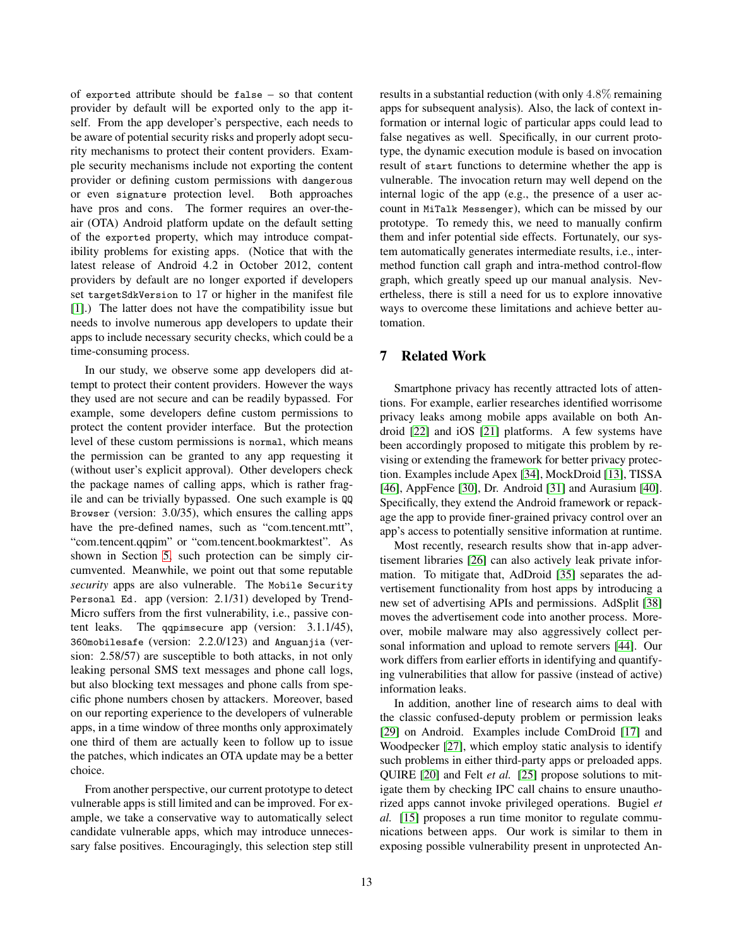of exported attribute should be false – so that content provider by default will be exported only to the app itself. From the app developer's perspective, each needs to be aware of potential security risks and properly adopt security mechanisms to protect their content providers. Example security mechanisms include not exporting the content provider or defining custom permissions with dangerous or even signature protection level. Both approaches have pros and cons. The former requires an over-theair (OTA) Android platform update on the default setting of the exported property, which may introduce compatibility problems for existing apps. (Notice that with the latest release of Android 4.2 in October 2012, content providers by default are no longer exported if developers set targetSdkVersion to 17 or higher in the manifest file [\[1\]](#page-14-5).) The latter does not have the compatibility issue but needs to involve numerous app developers to update their apps to include necessary security checks, which could be a time-consuming process.

In our study, we observe some app developers did attempt to protect their content providers. However the ways they used are not secure and can be readily bypassed. For example, some developers define custom permissions to protect the content provider interface. But the protection level of these custom permissions is normal, which means the permission can be granted to any app requesting it (without user's explicit approval). Other developers check the package names of calling apps, which is rather fragile and can be trivially bypassed. One such example is QQ Browser (version: 3.0/35), which ensures the calling apps have the pre-defined names, such as "com.tencent.mtt", "com.tencent.qqpim" or "com.tencent.bookmarktest". As shown in Section [5,](#page-7-0) such protection can be simply circumvented. Meanwhile, we point out that some reputable *security* apps are also vulnerable. The Mobile Security Personal Ed. app (version: 2.1/31) developed by Trend-Micro suffers from the first vulnerability, i.e., passive content leaks. The qqpimsecure app (version: 3.1.1/45), 360mobilesafe (version: 2.2.0/123) and Anguanjia (version: 2.58/57) are susceptible to both attacks, in not only leaking personal SMS text messages and phone call logs, but also blocking text messages and phone calls from specific phone numbers chosen by attackers. Moreover, based on our reporting experience to the developers of vulnerable apps, in a time window of three months only approximately one third of them are actually keen to follow up to issue the patches, which indicates an OTA update may be a better choice.

From another perspective, our current prototype to detect vulnerable apps is still limited and can be improved. For example, we take a conservative way to automatically select candidate vulnerable apps, which may introduce unnecessary false positives. Encouragingly, this selection step still results in a substantial reduction (with only 4.8% remaining apps for subsequent analysis). Also, the lack of context information or internal logic of particular apps could lead to false negatives as well. Specifically, in our current prototype, the dynamic execution module is based on invocation result of start functions to determine whether the app is vulnerable. The invocation return may well depend on the internal logic of the app (e.g., the presence of a user account in MiTalk Messenger), which can be missed by our prototype. To remedy this, we need to manually confirm them and infer potential side effects. Fortunately, our system automatically generates intermediate results, i.e., intermethod function call graph and intra-method control-flow graph, which greatly speed up our manual analysis. Nevertheless, there is still a need for us to explore innovative ways to overcome these limitations and achieve better automation.

### <span id="page-12-0"></span>**7 Related Work**

Smartphone privacy has recently attracted lots of attentions. For example, earlier researches identified worrisome privacy leaks among mobile apps available on both Android [\[22\]](#page-14-15) and iOS [\[21\]](#page-14-16) platforms. A few systems have been accordingly proposed to mitigate this problem by revising or extending the framework for better privacy protection. Examples include Apex [\[34\]](#page-15-1), MockDroid [\[13\]](#page-14-17), TISSA [\[46\]](#page-15-2), AppFence [\[30\]](#page-15-3), Dr. Android [\[31\]](#page-15-4) and Aurasium [\[40\]](#page-15-5). Specifically, they extend the Android framework or repackage the app to provide finer-grained privacy control over an app's access to potentially sensitive information at runtime.

Most recently, research results show that in-app advertisement libraries [\[26\]](#page-14-4) can also actively leak private information. To mitigate that, AdDroid [\[35\]](#page-15-6) separates the advertisement functionality from host apps by introducing a new set of advertising APIs and permissions. AdSplit [\[38\]](#page-15-7) moves the advertisement code into another process. Moreover, mobile malware may also aggressively collect personal information and upload to remote servers [\[44\]](#page-15-0). Our work differs from earlier efforts in identifying and quantifying vulnerabilities that allow for passive (instead of active) information leaks.

In addition, another line of research aims to deal with the classic confused-deputy problem or permission leaks [\[29\]](#page-14-18) on Android. Examples include ComDroid [\[17\]](#page-14-7) and Woodpecker [\[27\]](#page-14-10), which employ static analysis to identify such problems in either third-party apps or preloaded apps. QUIRE [\[20\]](#page-14-9) and Felt *et al.* [\[25\]](#page-14-19) propose solutions to mitigate them by checking IPC call chains to ensure unauthorized apps cannot invoke privileged operations. Bugiel *et al.* [\[15\]](#page-14-6) proposes a run time monitor to regulate communications between apps. Our work is similar to them in exposing possible vulnerability present in unprotected An-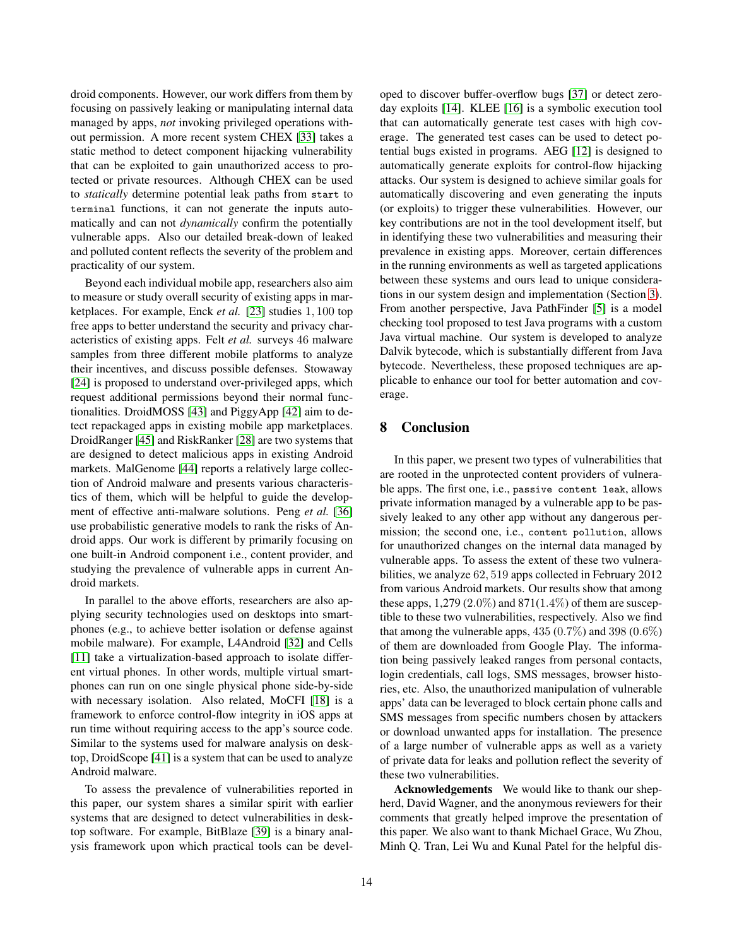droid components. However, our work differs from them by focusing on passively leaking or manipulating internal data managed by apps, *not* invoking privileged operations without permission. A more recent system CHEX [\[33\]](#page-15-8) takes a static method to detect component hijacking vulnerability that can be exploited to gain unauthorized access to protected or private resources. Although CHEX can be used to *statically* determine potential leak paths from start to terminal functions, it can not generate the inputs automatically and can not *dynamically* confirm the potentially vulnerable apps. Also our detailed break-down of leaked and polluted content reflects the severity of the problem and practicality of our system.

Beyond each individual mobile app, researchers also aim to measure or study overall security of existing apps in marketplaces. For example, Enck *et al.* [\[23\]](#page-14-20) studies 1, 100 top free apps to better understand the security and privacy characteristics of existing apps. Felt *et al.* surveys 46 malware samples from three different mobile platforms to analyze their incentives, and discuss possible defenses. Stowaway [\[24\]](#page-14-21) is proposed to understand over-privileged apps, which request additional permissions beyond their normal functionalities. DroidMOSS [\[43\]](#page-15-9) and PiggyApp [\[42\]](#page-15-10) aim to detect repackaged apps in existing mobile app marketplaces. DroidRanger [\[45\]](#page-15-11) and RiskRanker [\[28\]](#page-14-22) are two systems that are designed to detect malicious apps in existing Android markets. MalGenome [\[44\]](#page-15-0) reports a relatively large collection of Android malware and presents various characteristics of them, which will be helpful to guide the development of effective anti-malware solutions. Peng *et al.* [\[36\]](#page-15-12) use probabilistic generative models to rank the risks of Android apps. Our work is different by primarily focusing on one built-in Android component i.e., content provider, and studying the prevalence of vulnerable apps in current Android markets.

In parallel to the above efforts, researchers are also applying security technologies used on desktops into smartphones (e.g., to achieve better isolation or defense against mobile malware). For example, L4Android [\[32\]](#page-15-13) and Cells [\[11\]](#page-14-23) take a virtualization-based approach to isolate different virtual phones. In other words, multiple virtual smartphones can run on one single physical phone side-by-side with necessary isolation. Also related, MoCFI [\[18\]](#page-14-24) is a framework to enforce control-flow integrity in iOS apps at run time without requiring access to the app's source code. Similar to the systems used for malware analysis on desktop, DroidScope [\[41\]](#page-15-14) is a system that can be used to analyze Android malware.

To assess the prevalence of vulnerabilities reported in this paper, our system shares a similar spirit with earlier systems that are designed to detect vulnerabilities in desktop software. For example, BitBlaze [\[39\]](#page-15-15) is a binary analysis framework upon which practical tools can be devel-

oped to discover buffer-overflow bugs [\[37\]](#page-15-16) or detect zeroday exploits [\[14\]](#page-14-25). KLEE [\[16\]](#page-14-26) is a symbolic execution tool that can automatically generate test cases with high coverage. The generated test cases can be used to detect potential bugs existed in programs. AEG [\[12\]](#page-14-27) is designed to automatically generate exploits for control-flow hijacking attacks. Our system is designed to achieve similar goals for automatically discovering and even generating the inputs (or exploits) to trigger these vulnerabilities. However, our key contributions are not in the tool development itself, but in identifying these two vulnerabilities and measuring their prevalence in existing apps. Moreover, certain differences in the running environments as well as targeted applications between these systems and ours lead to unique considerations in our system design and implementation (Section [3\)](#page-2-0). From another perspective, Java PathFinder [\[5\]](#page-14-28) is a model checking tool proposed to test Java programs with a custom Java virtual machine. Our system is developed to analyze Dalvik bytecode, which is substantially different from Java bytecode. Nevertheless, these proposed techniques are applicable to enhance our tool for better automation and coverage.

# <span id="page-13-0"></span>**8 Conclusion**

In this paper, we present two types of vulnerabilities that are rooted in the unprotected content providers of vulnerable apps. The first one, i.e., passive content leak, allows private information managed by a vulnerable app to be passively leaked to any other app without any dangerous permission; the second one, i.e., content pollution, allows for unauthorized changes on the internal data managed by vulnerable apps. To assess the extent of these two vulnerabilities, we analyze 62, 519 apps collected in February 2012 from various Android markets. Our results show that among these apps,  $1,279(2.0\%)$  and  $871(1.4\%)$  of them are susceptible to these two vulnerabilities, respectively. Also we find that among the vulnerable apps,  $435 (0.7\%)$  and  $398 (0.6\%)$ of them are downloaded from Google Play. The information being passively leaked ranges from personal contacts, login credentials, call logs, SMS messages, browser histories, etc. Also, the unauthorized manipulation of vulnerable apps' data can be leveraged to block certain phone calls and SMS messages from specific numbers chosen by attackers or download unwanted apps for installation. The presence of a large number of vulnerable apps as well as a variety of private data for leaks and pollution reflect the severity of these two vulnerabilities.

**Acknowledgements** We would like to thank our shepherd, David Wagner, and the anonymous reviewers for their comments that greatly helped improve the presentation of this paper. We also want to thank Michael Grace, Wu Zhou, Minh Q. Tran, Lei Wu and Kunal Patel for the helpful dis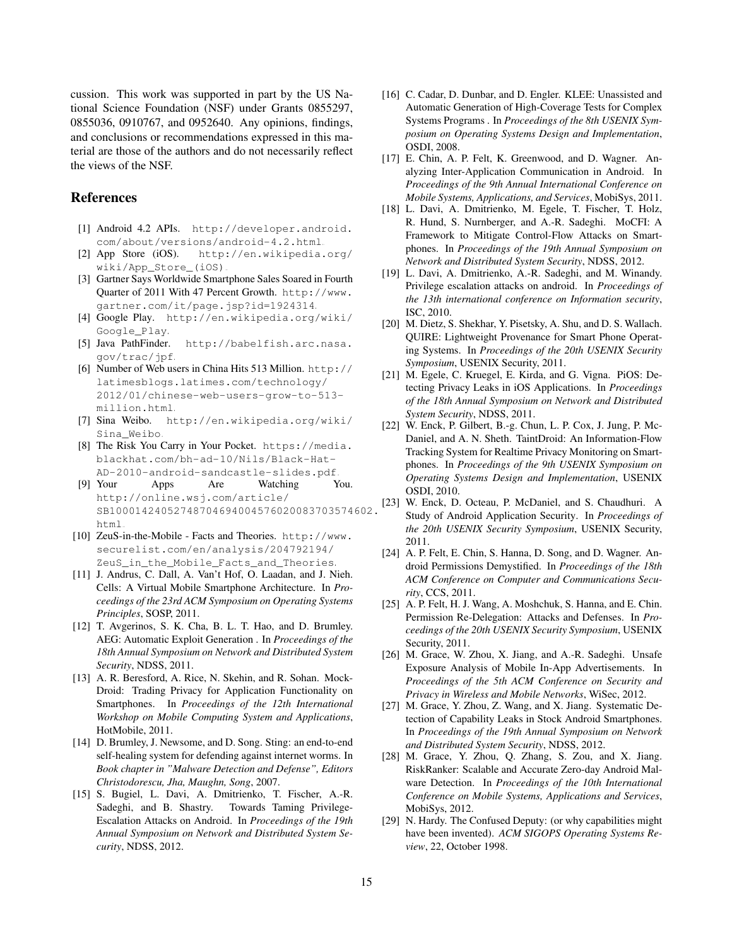cussion. This work was supported in part by the US National Science Foundation (NSF) under Grants 0855297, 0855036, 0910767, and 0952640. Any opinions, findings, and conclusions or recommendations expressed in this material are those of the authors and do not necessarily reflect the views of the NSF.

## <span id="page-14-5"></span>**References**

- <span id="page-14-2"></span>[1] Android 4.2 APIs. [http://developer.android.](http://developer.android.com/about/versions/android-4.2.html) [com/about/versions/android-4.2.html](http://developer.android.com/about/versions/android-4.2.html).
- <span id="page-14-0"></span>[2] App Store (iOS). [http://en.wikipedia.org/](http://en.wikipedia.org/wiki/App_Store_(iOS)) [wiki/App\\_Store\\_\(iOS\)](http://en.wikipedia.org/wiki/App_Store_(iOS)).
- [3] Gartner Says Worldwide Smartphone Sales Soared in Fourth Quarter of 2011 With 47 Percent Growth. [http://www.](http://www.gartner.com/it/page.jsp?id=1924314) [gartner.com/it/page.jsp?id=1924314](http://www.gartner.com/it/page.jsp?id=1924314).
- <span id="page-14-28"></span><span id="page-14-1"></span>[4] Google Play. [http://en.wikipedia.org/wiki/](http://en.wikipedia.org/wiki/Google_Play) [Google\\_Play](http://en.wikipedia.org/wiki/Google_Play).
- <span id="page-14-13"></span>[5] Java PathFinder. [http://babelfish.arc.nasa.](http://babelfish.arc.nasa.gov/trac/jpf) [gov/trac/jpf](http://babelfish.arc.nasa.gov/trac/jpf).
- [6] Number of Web users in China Hits 513 Million. [http://](http://latimesblogs.latimes.com/technology/2012/01/chinese-web-users-grow-to-513-million.html) [latimesblogs.latimes.com/technology/](http://latimesblogs.latimes.com/technology/2012/01/chinese-web-users-grow-to-513-million.html) [2012/01/chinese-web-users-grow-to-513](http://latimesblogs.latimes.com/technology/2012/01/chinese-web-users-grow-to-513-million.html) [million.html](http://latimesblogs.latimes.com/technology/2012/01/chinese-web-users-grow-to-513-million.html).
- <span id="page-14-14"></span><span id="page-14-11"></span>[7] Sina Weibo. [http://en.wikipedia.org/wiki/](http://en.wikipedia.org/wiki/Sina_Weibo) [Sina\\_Weibo](http://en.wikipedia.org/wiki/Sina_Weibo).
- [8] The Risk You Carry in Your Pocket. [https://media.](https://media.blackhat.com/bh-ad-10/Nils/Black-Hat-AD-2010-android-sandcastle-slides.pdf) [blackhat.com/bh-ad-10/Nils/Black-Hat-](https://media.blackhat.com/bh-ad-10/Nils/Black-Hat-AD-2010-android-sandcastle-slides.pdf)[AD-2010-android-sandcastle-slides.pdf](https://media.blackhat.com/bh-ad-10/Nils/Black-Hat-AD-2010-android-sandcastle-slides.pdf).
- <span id="page-14-3"></span>[9] Your Apps Are Watching You. [http://online.wsj.com/article/](http://online.wsj.com/article/SB10001424052748704694004576020083703574602.html) [SB10001424052748704694004576020083703574602.](http://online.wsj.com/article/SB10001424052748704694004576020083703574602.html) [html](http://online.wsj.com/article/SB10001424052748704694004576020083703574602.html).
- <span id="page-14-12"></span>[10] ZeuS-in-the-Mobile - Facts and Theories. [http://www.](http://www.securelist.com/en/analysis/204792194/ZeuS_in_the_Mobile_Facts_and_Theories) [securelist.com/en/analysis/204792194/](http://www.securelist.com/en/analysis/204792194/ZeuS_in_the_Mobile_Facts_and_Theories) [ZeuS\\_in\\_the\\_Mobile\\_Facts\\_and\\_Theories](http://www.securelist.com/en/analysis/204792194/ZeuS_in_the_Mobile_Facts_and_Theories).
- <span id="page-14-23"></span>[11] J. Andrus, C. Dall, A. Van't Hof, O. Laadan, and J. Nieh. Cells: A Virtual Mobile Smartphone Architecture. In *Proceedings of the 23rd ACM Symposium on Operating Systems Principles*, SOSP, 2011.
- <span id="page-14-27"></span>[12] T. Avgerinos, S. K. Cha, B. L. T. Hao, and D. Brumley. AEG: Automatic Exploit Generation . In *Proceedings of the 18th Annual Symposium on Network and Distributed System Security*, NDSS, 2011.
- <span id="page-14-17"></span>[13] A. R. Beresford, A. Rice, N. Skehin, and R. Sohan. Mock-Droid: Trading Privacy for Application Functionality on Smartphones. In *Proceedings of the 12th International Workshop on Mobile Computing System and Applications*, HotMobile, 2011.
- <span id="page-14-25"></span>[14] D. Brumley, J. Newsome, and D. Song. Sting: an end-to-end self-healing system for defending against internet worms. In *Book chapter in "Malware Detection and Defense", Editors Christodorescu, Jha, Maughn, Song*, 2007.
- <span id="page-14-6"></span>[15] S. Bugiel, L. Davi, A. Dmitrienko, T. Fischer, A.-R. Sadeghi, and B. Shastry. Towards Taming Privilege-Escalation Attacks on Android. In *Proceedings of the 19th Annual Symposium on Network and Distributed System Security*, NDSS, 2012.
- <span id="page-14-26"></span>[16] C. Cadar, D. Dunbar, and D. Engler. KLEE: Unassisted and Automatic Generation of High-Coverage Tests for Complex Systems Programs . In *Proceedings of the 8th USENIX Symposium on Operating Systems Design and Implementation*, OSDI, 2008.
- <span id="page-14-7"></span>[17] E. Chin, A. P. Felt, K. Greenwood, and D. Wagner. Analyzing Inter-Application Communication in Android. In *Proceedings of the 9th Annual International Conference on Mobile Systems, Applications, and Services*, MobiSys, 2011.
- <span id="page-14-24"></span>[18] L. Davi, A. Dmitrienko, M. Egele, T. Fischer, T. Holz, R. Hund, S. Nurnberger, and A.-R. Sadeghi. MoCFI: A Framework to Mitigate Control-Flow Attacks on Smartphones. In *Proceedings of the 19th Annual Symposium on Network and Distributed System Security*, NDSS, 2012.
- <span id="page-14-8"></span>[19] L. Davi, A. Dmitrienko, A.-R. Sadeghi, and M. Winandy. Privilege escalation attacks on android. In *Proceedings of the 13th international conference on Information security*, ISC, 2010.
- <span id="page-14-9"></span>[20] M. Dietz, S. Shekhar, Y. Pisetsky, A. Shu, and D. S. Wallach. QUIRE: Lightweight Provenance for Smart Phone Operating Systems. In *Proceedings of the 20th USENIX Security Symposium*, USENIX Security, 2011.
- <span id="page-14-16"></span>[21] M. Egele, C. Kruegel, E. Kirda, and G. Vigna. PiOS: Detecting Privacy Leaks in iOS Applications. In *Proceedings of the 18th Annual Symposium on Network and Distributed System Security*, NDSS, 2011.
- <span id="page-14-15"></span>[22] W. Enck, P. Gilbert, B.-g. Chun, L. P. Cox, J. Jung, P. Mc-Daniel, and A. N. Sheth. TaintDroid: An Information-Flow Tracking System for Realtime Privacy Monitoring on Smartphones. In *Proceedings of the 9th USENIX Symposium on Operating Systems Design and Implementation*, USENIX OSDI, 2010.
- <span id="page-14-20"></span>W. Enck, D. Octeau, P. McDaniel, and S. Chaudhuri. A Study of Android Application Security. In *Proceedings of the 20th USENIX Security Symposium*, USENIX Security, 2011.
- <span id="page-14-21"></span>[24] A. P. Felt, E. Chin, S. Hanna, D. Song, and D. Wagner. Android Permissions Demystified. In *Proceedings of the 18th ACM Conference on Computer and Communications Security*, CCS, 2011.
- <span id="page-14-19"></span>[25] A. P. Felt, H. J. Wang, A. Moshchuk, S. Hanna, and E. Chin. Permission Re-Delegation: Attacks and Defenses. In *Proceedings of the 20th USENIX Security Symposium*, USENIX Security, 2011.
- <span id="page-14-4"></span>[26] M. Grace, W. Zhou, X. Jiang, and A.-R. Sadeghi. Unsafe Exposure Analysis of Mobile In-App Advertisements. In *Proceedings of the 5th ACM Conference on Security and Privacy in Wireless and Mobile Networks*, WiSec, 2012.
- <span id="page-14-10"></span>[27] M. Grace, Y. Zhou, Z. Wang, and X. Jiang. Systematic Detection of Capability Leaks in Stock Android Smartphones. In *Proceedings of the 19th Annual Symposium on Network and Distributed System Security*, NDSS, 2012.
- <span id="page-14-22"></span>[28] M. Grace, Y. Zhou, Q. Zhang, S. Zou, and X. Jiang. RiskRanker: Scalable and Accurate Zero-day Android Malware Detection. In *Proceedings of the 10th International Conference on Mobile Systems, Applications and Services*, MobiSys, 2012.
- <span id="page-14-18"></span>[29] N. Hardy. The Confused Deputy: (or why capabilities might have been invented). *ACM SIGOPS Operating Systems Review*, 22, October 1998.